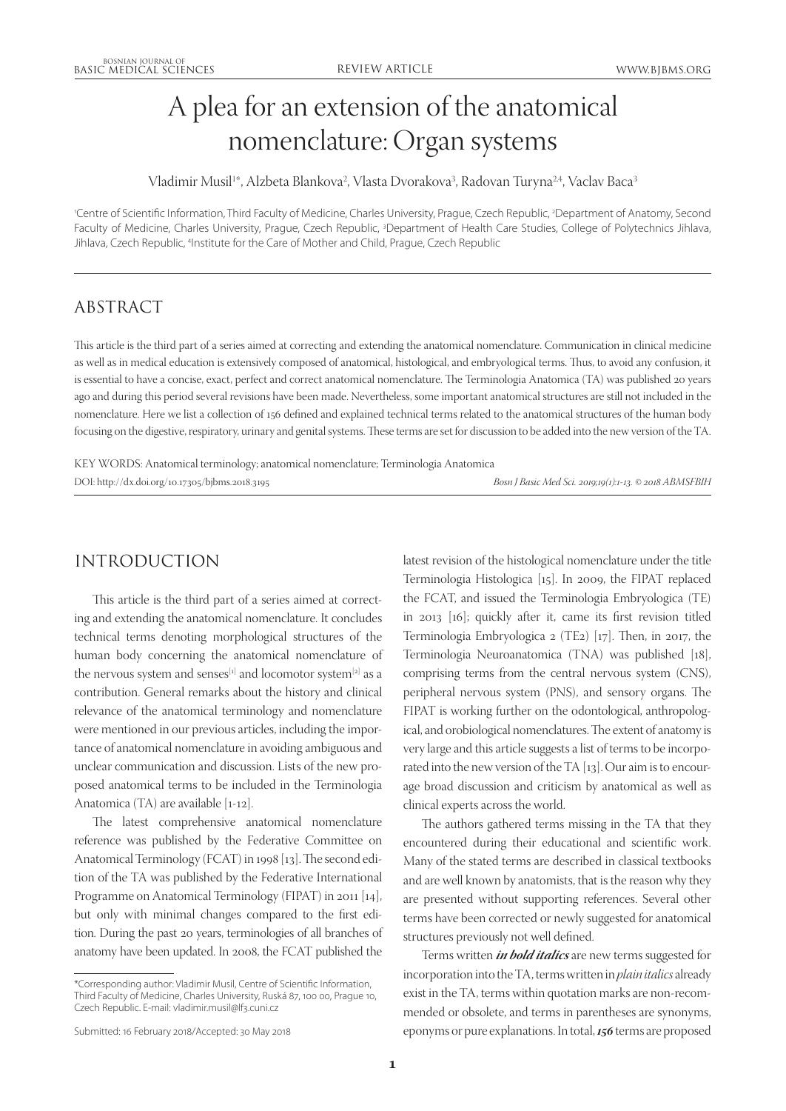# A plea for an extension of the anatomical nomenclature: Organ systems

Vladimir Musil1\*, Alzbeta Blankova<sup>2</sup>, Vlasta Dvorakova<sup>3</sup>, Radovan Turyna<sup>24</sup>, Vaclav Baca<sup>3</sup>

'Centre of Scientific Information, Third Faculty of Medicine, Charles University, Prague, Czech Republic, <sup>2</sup>Department of Anatomy, Second Faculty of Medicine, Charles University, Prague, Czech Republic, <sup>3</sup>Department of Health Care Studies, College of Polytechnics Jihlava, Jihlava, Czech Republic, <sup>4</sup>Institute for the Care of Mother and Child, Prague, Czech Republic

# ABSTRACT

This article is the third part of a series aimed at correcting and extending the anatomical nomenclature. Communication in clinical medicine as well as in medical education is extensively composed of anatomical, histological, and embryological terms. Thus, to avoid any confusion, it is essential to have a concise, exact, perfect and correct anatomical nomenclature. The Terminologia Anatomica (TA) was published 20 years ago and during this period several revisions have been made. Nevertheless, some important anatomical structures are still not included in the nomenclature. Here we list a collection of 156 defined and explained technical terms related to the anatomical structures of the human body focusing on the digestive, respiratory, urinary and genital systems. These terms are set for discussion to be added into the new version of the TA.

KEY WORDS: Anatomical terminology; anatomical nomenclature; Terminologia Anatomica DOI: http://dx.doi.org/10.17305/bjbms.2018.3195 *Bosn J Basic Med Sci. 2019;19(1):1‑13. © 2018 ABMSFBIH*

# INTRODUCTION

This article is the third part of a series aimed at correcting and extending the anatomical nomenclature. It concludes technical terms denoting morphological structures of the human body concerning the anatomical nomenclature of the nervous system and senses<sup>[1]</sup> and locomotor system<sup>[2]</sup> as a contribution. General remarks about the history and clinical relevance of the anatomical terminology and nomenclature were mentioned in our previous articles, including the importance of anatomical nomenclature in avoiding ambiguous and unclear communication and discussion. Lists of the new proposed anatomical terms to be included in the Terminologia Anatomica (TA) are available [1‑12].

The latest comprehensive anatomical nomenclature reference was published by the Federative Committee on Anatomical Terminology (FCAT) in 1998 [13]. The second edition of the TA was published by the Federative International Programme on Anatomical Terminology (FIPAT) in 2011 [14], but only with minimal changes compared to the first edition. During the past 20 years, terminologies of all branches of anatomy have been updated. In 2008, the FCAT published the

latest revision of the histological nomenclature under the title Terminologia Histologica [15]. In 2009, the FIPAT replaced the FCAT, and issued the Terminologia Embryologica (TE) in 2013 [16]; quickly after it, came its first revision titled Terminologia Embryologica 2 (TE2) [17]. Then, in 2017, the Terminologia Neuroanatomica (TNA) was published [18], comprising terms from the central nervous system (CNS), peripheral nervous system (PNS), and sensory organs. The FIPAT is working further on the odontological, anthropological, and orobiological nomenclatures. The extent of anatomy is very large and this article suggests a list of terms to be incorporated into the new version of the TA  $[13]$ . Our aim is to encourage broad discussion and criticism by anatomical as well as clinical experts across the world.

The authors gathered terms missing in the TA that they encountered during their educational and scientific work. Many of the stated terms are described in classical textbooks and are well known by anatomists, that is the reason why they are presented without supporting references. Several other terms have been corrected or newly suggested for anatomical structures previously not well defined.

Terms written *in bold italics* are new terms suggested for incorporation into the TA, terms written in *plain italics* already exist in the TA, terms within quotation marks are non-recommended or obsolete, and terms in parentheses are synonyms, eponyms or pure explanations. In total, *156* terms are proposed

<sup>\*</sup>Corresponding author: Vladimir Musil, Centre of Scientific Information, Third Faculty of Medicine, Charles University, Ruská 87, 100 00, Prague 10, Czech Republic. E‑mail: vladimir.musil@lf3.cuni.cz

Submitted: 16 February 2018/Accepted: 30 May 2018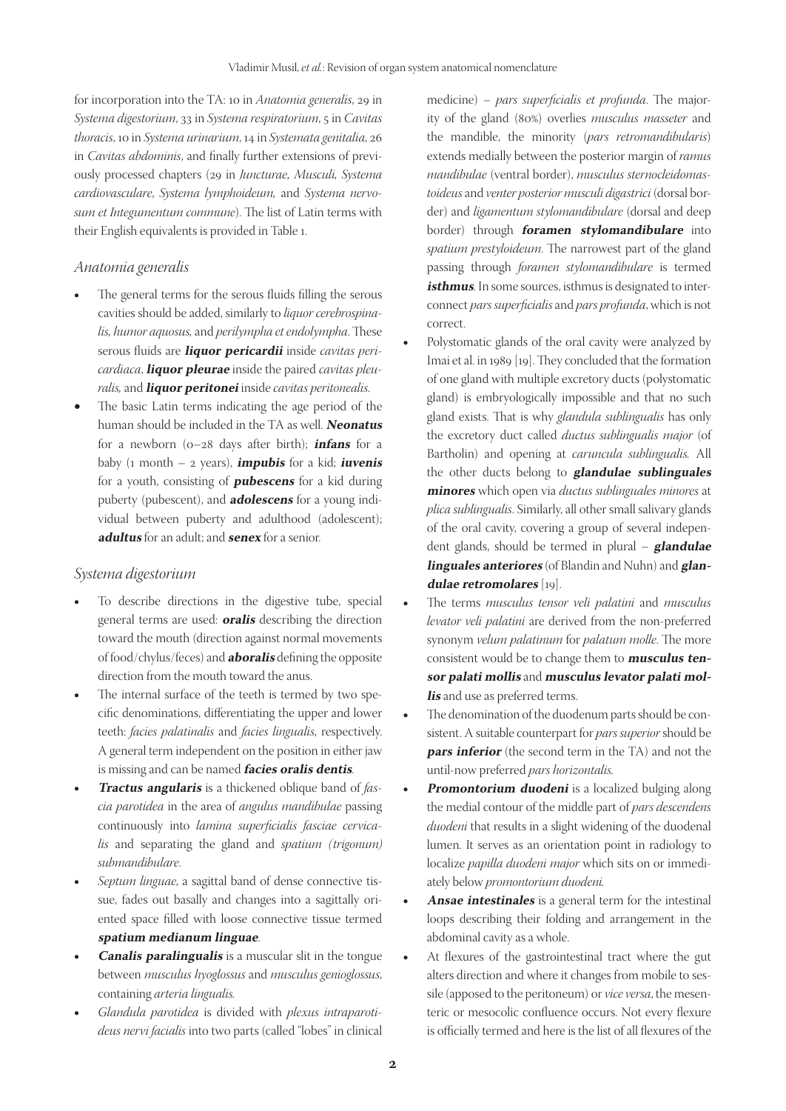for incorporation into the TA: 10 in *Anatomia generalis*, 29 in *Systema digestorium*, 33 in *Systema respiratorium*, 5 in *Cavitas thoracis*, 10 in *Systema urinarium*, 14 in *Systemata genitalia*, 26 in *Cavitas abdominis*, and finally further extensions of previously processed chapters (29 in *Juncturae, Musculi, Systema cardiovasculare*, *Systema lymphoideum,* and *Systema nervo‑ sum et Integumentum commune*). The list of Latin terms with their English equivalents is provided in Table 1.

#### *Anatomia generalis*

- The general terms for the serous fluids filling the serous cavities should be added, similarly to *liquor cerebrospina‑ lis, humor aquosus,* and *perilympha et endolympha*. These serous fluids are **liquor pericardii** inside *cavitas peri‑ cardiaca*, **liquor pleurae** inside the paired *cavitas pleu‑ ralis,* and **liquor peritonei** inside *cavitas peritonealis*.
- The basic Latin terms indicating the age period of the human should be included in the TA as well. **Neonatus** for a newborn (0–28 days after birth); **infans** for a baby (1 month – 2 years), **impubis** for a kid; **iuvenis** for a youth, consisting of **pubescens** for a kid during puberty (pubescent), and **adolescens** for a young individual between puberty and adulthood (adolescent); **adultus** for an adult; and **senex** for a senior.

#### *Systema digestorium*

- To describe directions in the digestive tube, special general terms are used: **oralis** describing the direction toward the mouth (direction against normal movements of food/chylus/feces) and **aboralis** defining the opposite direction from the mouth toward the anus.
- The internal surface of the teeth is termed by two specific denominations, differentiating the upper and lower teeth: *facies palatinalis* and *facies lingualis*, respectively. A general term independent on the position in either jaw is missing and can be named **facies oralis dentis**.
- **Tractus angularis** is a thickened oblique band of *fascia parotidea* in the area of *angulus mandibulae* passing continuously into *lamina superficialis fasciae cervica‑ lis* and separating the gland and *spatium (trigonum) submandibulare*.
- Septum linguae, a sagittal band of dense connective tissue, fades out basally and changes into a sagittally oriented space filled with loose connective tissue termed **spatium medianum linguae**.
- **Canalis paralingualis** is a muscular slit in the tongue between *musculus hyoglossus* and *musculus genioglossus*, containing *arteria lingualis.*
- Glandula parotidea is divided with plexus intraparoti*deus nervi facialis* into two parts (called "lobes" in clinical

medicine) – *pars superficialis et profunda*. The majority of the gland (80%) overlies *musculus masseter* and the mandible, the minority (*pars retromandibularis*) extends medially between the posterior margin of *ramus mandibulae* (ventral border), *musculus sternocleidomas‑ toideus* and *venter posterior musculi digastrici* (dorsal bor‑ der) and *ligamentum stylomandibulare* (dorsal and deep border) through **foramen stylomandibulare** into *spatium prestyloideum*. The narrowest part of the gland passing through *foramen stylomandibulare* is termed isthmus. In some sources, isthmus is designated to interconnect *pars superficialis* and *pars profunda*, which is not correct.

- Polystomatic glands of the oral cavity were analyzed by Imai et al. in 1989 [19]. They concluded that the formation of one gland with multiple excretory ducts (polystomatic gland) is embryologically impossible and that no such gland exists. That is why *glandula sublingualis* has only the excretory duct called *ductus sublingualis major* (of Bartholin) and opening at *caruncula sublingualis.* All the other ducts belong to **glandulae sublinguales minores** which open via *ductus sublinguales minores* at *plica sublingualis*. Similarly, all other small salivary glands of the oral cavity, covering a group of several independent glands, should be termed in plural – **glandulae linguales anteriores** (of Blandin and Nuhn) and **glandulae retromolares** [19].
- The terms *musculus tensor veli palatini* and *musculus levator veli palatini* are derived from the non‑preferred synonym *velum palatinum* for *palatum molle*. The more consistent would be to change them to **musculus tensor palati mollis** and **musculus levator palati mollis** and use as preferred terms.
- The denomination of the duodenum parts should be consistent. A suitable counterpart for *pars superior* should be **pars inferior** (the second term in the TA) and not the until‑now preferred *pars horizontalis.*
- **Promontorium duodeni** is a localized bulging along the medial contour of the middle part of *pars descendens duodeni* that results in a slight widening of the duodenal lumen. It serves as an orientation point in radiology to localize *papilla duodeni major* which sits on or immediately below *promontorium duodeni.*
- Ansae intestinales is a general term for the intestinal loops describing their folding and arrangement in the abdominal cavity as a whole.
- At flexures of the gastrointestinal tract where the gut alters direction and where it changes from mobile to sessile (apposed to the peritoneum) or *vice versa*, the mesenteric or mesocolic confluence occurs. Not every flexure is officially termed and here is the list of all flexures of the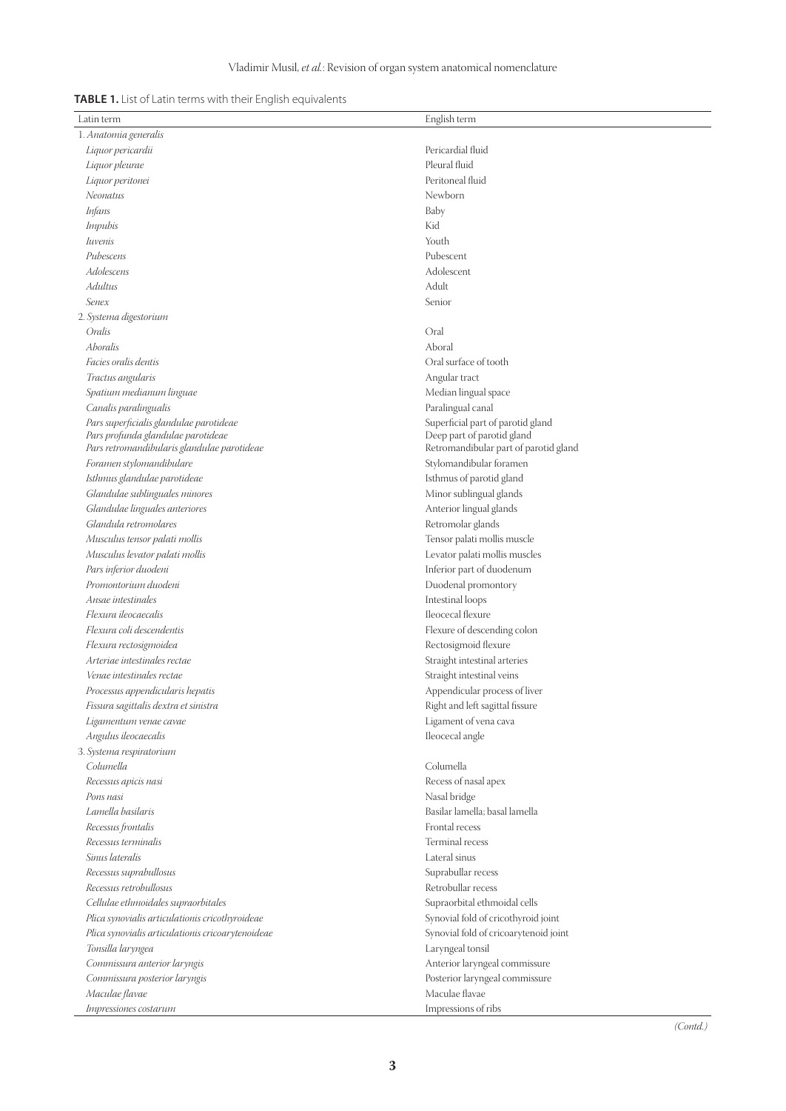| <b>TABLE 1.</b> List of Latin terms with their English equivalents |  |  |  |  |
|--------------------------------------------------------------------|--|--|--|--|
|--------------------------------------------------------------------|--|--|--|--|

| Latin term                                        | English term                          |  |  |  |
|---------------------------------------------------|---------------------------------------|--|--|--|
| 1. Anatomia generalis                             |                                       |  |  |  |
| Liquor pericardii                                 | Pericardial fluid                     |  |  |  |
| Liquor pleurae                                    | Pleural fluid                         |  |  |  |
| Liquor peritonei                                  | Peritoneal fluid                      |  |  |  |
| Neonatus                                          | Newborn                               |  |  |  |
| Infans                                            | Baby                                  |  |  |  |
| <i>Impubis</i>                                    | Kid                                   |  |  |  |
| <i><u>Iuvenis</u></i>                             | Youth                                 |  |  |  |
| Pubescens                                         | Pubescent                             |  |  |  |
| Adolescens                                        | Adolescent                            |  |  |  |
| Adultus                                           |                                       |  |  |  |
|                                                   | Adult                                 |  |  |  |
| Senex                                             | Senior                                |  |  |  |
| 2. Systema digestorium                            |                                       |  |  |  |
| Oralis                                            | Oral                                  |  |  |  |
| Aboralis                                          | Aboral                                |  |  |  |
| Facies oralis dentis                              | Oral surface of tooth                 |  |  |  |
| Tractus angularis                                 | Angular tract                         |  |  |  |
| Spatium medianum linguae                          | Median lingual space                  |  |  |  |
| Canalis paralingualis                             | Paralingual canal                     |  |  |  |
| Pars superficialis glandulae parotideae           | Superficial part of parotid gland     |  |  |  |
| Pars profunda glandulae parotideae                | Deep part of parotid gland            |  |  |  |
| Pars retromandibularis glandulae parotideae       | Retromandibular part of parotid gland |  |  |  |
| Foramen stylomandibulare                          | Stylomandibular foramen               |  |  |  |
| Isthmus glandulae parotideae                      | Isthmus of parotid gland              |  |  |  |
| Glandulae sublinguales minores                    | Minor sublingual glands               |  |  |  |
| Glandulae linguales anteriores                    | Anterior lingual glands               |  |  |  |
| Glandula retromolares                             | Retromolar glands                     |  |  |  |
| Musculus tensor palati mollis                     | Tensor palati mollis muscle           |  |  |  |
| Musculus levator palati mollis                    | Levator palati mollis muscles         |  |  |  |
| Pars inferior duodeni                             | Inferior part of duodenum             |  |  |  |
| Promontorium duodeni                              | Duodenal promontory                   |  |  |  |
| Ansae intestinales                                | Intestinal loops                      |  |  |  |
| Flexura ileocaecalis                              | Ileocecal flexure                     |  |  |  |
| Flexura coli descendentis                         | Flexure of descending colon           |  |  |  |
| Flexura rectosigmoidea                            | Rectosigmoid flexure                  |  |  |  |
| Arteriae intestinales rectae                      | Straight intestinal arteries          |  |  |  |
| Venae intestinales rectae                         | Straight intestinal veins             |  |  |  |
| Processus appendicularis hepatis                  | Appendicular process of liver         |  |  |  |
| Fissura sagittalis dextra et sinistra             | Right and left sagittal fissure       |  |  |  |
| Ligamentum venae cavae                            | Ligament of vena cava                 |  |  |  |
| Angulus ileocaecalis                              | Ileocecal angle                       |  |  |  |
| 3. Systema respiratorium                          |                                       |  |  |  |
| Columella                                         | Columella                             |  |  |  |
| Recessus apicis nasi                              | Recess of nasal apex                  |  |  |  |
| Pons nasi                                         |                                       |  |  |  |
|                                                   | Nasal bridge                          |  |  |  |
| Lamella basilaris                                 | Basilar lamella; basal lamella        |  |  |  |
| Recessus frontalis                                | Frontal recess                        |  |  |  |
| Recessus terminalis                               | Terminal recess                       |  |  |  |
| Sinus lateralis                                   | Lateral sinus                         |  |  |  |
| Recessus suprabullosus                            | Suprabullar recess                    |  |  |  |
| Recessus retrobullosus                            | Retrobullar recess                    |  |  |  |
| Cellulae ethmoidales supraorbitales               | Supraorbital ethmoidal cells          |  |  |  |
| Plica synovialis articulationis cricothyroideae   | Synovial fold of cricothyroid joint   |  |  |  |
| Plica synovialis articulationis cricoarytenoideae | Synovial fold of cricoarytenoid joint |  |  |  |
| Tonsilla laryngea                                 | Laryngeal tonsil                      |  |  |  |
| Commissura anterior laryngis                      | Anterior laryngeal commissure         |  |  |  |
| Commissura posterior laryngis                     | Posterior laryngeal commissure        |  |  |  |
| Maculae flavae                                    | Maculae flavae                        |  |  |  |
| Impressiones costarum                             | Impressions of ribs                   |  |  |  |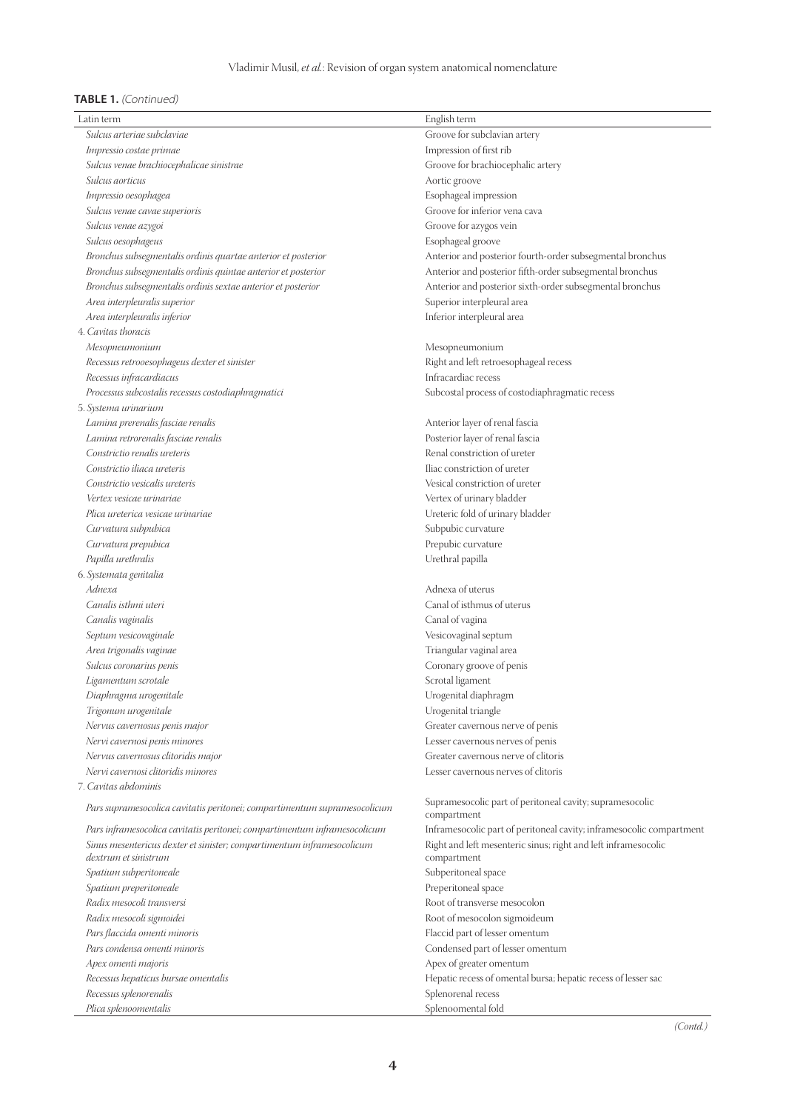#### **TABLE 1.** (Continued)

| Latin term                                                                | English term                                                            |
|---------------------------------------------------------------------------|-------------------------------------------------------------------------|
| Sulcus arteriae subclaviae                                                | Groove for subclavian artery                                            |
| Impressio costae primae                                                   | Impression of first rib                                                 |
| Sulcus venae brachiocephalicae sinistrae                                  | Groove for brachiocephalic artery                                       |
| Sulcus aorticus                                                           | Aortic groove                                                           |
| Impressio oesophagea                                                      | Esophageal impression                                                   |
| Sulcus venae cavae superioris                                             | Groove for inferior vena cava                                           |
| Sulcus venae azygoi                                                       | Groove for azygos vein                                                  |
| Sulcus oesophageus                                                        | Esophageal groove                                                       |
| Bronchus subsegmentalis ordinis quartae anterior et posterior             | Anterior and posterior fourth-order subsegmental bronchus               |
| Bronchus subsegmentalis ordinis quintae anterior et posterior             | Anterior and posterior fifth-order subsegmental bronchus                |
| Bronchus subsegmentalis ordinis sextae anterior et posterior              | Anterior and posterior sixth-order subsegmental bronchus                |
| Area interpleuralis superior                                              | Superior interpleural area                                              |
| Area interpleuralis inferior                                              | Inferior interpleural area                                              |
| 4. Cavitas thoracis                                                       |                                                                         |
| Меѕорпеитопіит                                                            | Mesopneumonium                                                          |
| Recessus retrooesophageus dexter et sinister                              | Right and left retroesophageal recess                                   |
| Recessus infracardiacus                                                   | Infracardiac recess                                                     |
| Processus subcostalis recessus costodiaphragmatici                        | Subcostal process of costodiaphragmatic recess                          |
| 5. Systema urinarium                                                      |                                                                         |
| Lamina prerenalis fasciae renalis                                         | Anterior layer of renal fascia                                          |
| Lamina retrorenalis fasciae renalis                                       | Posterior layer of renal fascia                                         |
| Constrictio renalis ureteris                                              | Renal constriction of ureter                                            |
| Constrictio iliaca ureteris                                               | Iliac constriction of ureter                                            |
| Constrictio vesicalis ureteris                                            | Vesical constriction of ureter                                          |
| Vertex vesicae urinariae                                                  | Vertex of urinary bladder                                               |
| Plica ureterica vesicae urinariae                                         | Ureteric fold of urinary bladder                                        |
| Curvatura subpubica                                                       | Subpubic curvature                                                      |
| Curvatura prepubica                                                       | Prepubic curvature                                                      |
| Papilla urethralis                                                        | Urethral papilla                                                        |
| 6. Systemata genitalia                                                    |                                                                         |
| Adnexa                                                                    | Adnexa of uterus                                                        |
| Canalis isthmi uteri                                                      | Canal of isthmus of uterus                                              |
| Canalis vaginalis                                                         | Canal of vagina                                                         |
| Septum vesicovaginale                                                     | Vesicovaginal septum                                                    |
| Area trigonalis vaginae                                                   | Triangular vaginal area                                                 |
| Sulcus coronarius penis                                                   | Coronary groove of penis                                                |
| Ligamentum scrotale                                                       | Scrotal ligament                                                        |
| Diaphragma urogenitale                                                    | Urogenital diaphragm                                                    |
| Trigonum urogenitale                                                      | Urogenital triangle                                                     |
| Nervus cavernosus penis major                                             | Greater cavernous nerve of penis                                        |
| Nervi cavernosi penis minores                                             | Lesser cavernous nerves of penis                                        |
| Nervus cavernosus clitoridis major                                        | Greater cavernous nerve of clitoris                                     |
| Nervi cavernosi clitoridis minores                                        | Lesser cavernous nerves of clitoris                                     |
| 7. Cavitas abdominis                                                      |                                                                         |
| Pars supramesocolica cavitatis peritonei; compartimentum supramesocolicum | Supramesocolic part of peritoneal cavity; supramesocolic<br>compartment |
| Pars inframesocolica cavitatis peritonei; compartimentum inframesocolicum | Inframesocolic part of peritoneal cavity; inframesocolic compartment    |
| Sinus mesentericus dexter et sinister; compartimentum inframesocolicum    | Right and left mesenteric sinus; right and left inframesocolic          |
| dextrum et sinistrum                                                      | compartment                                                             |
| Spatium subperitoneale                                                    | Subperitoneal space                                                     |
| Spatium preperitoneale                                                    | Preperitoneal space                                                     |
| Radix mesocoli transversi                                                 | Root of transverse mesocolon                                            |
| Radix mesocoli sigmoidei                                                  | Root of mesocolon sigmoideum                                            |
| Pars flaccida omenti minoris                                              | Flaccid part of lesser omentum                                          |
| Pars condensa omenti minoris                                              | Condensed part of lesser omentum                                        |
| Apex omenti majoris                                                       | Apex of greater omentum                                                 |
| Recessus hepaticus bursae omentalis                                       | Hepatic recess of omental bursa; hepatic recess of lesser sac           |
| Recessus splenorenalis                                                    | Splenorenal recess                                                      |
| Plica splenoomentalis                                                     | Splenoomental fold                                                      |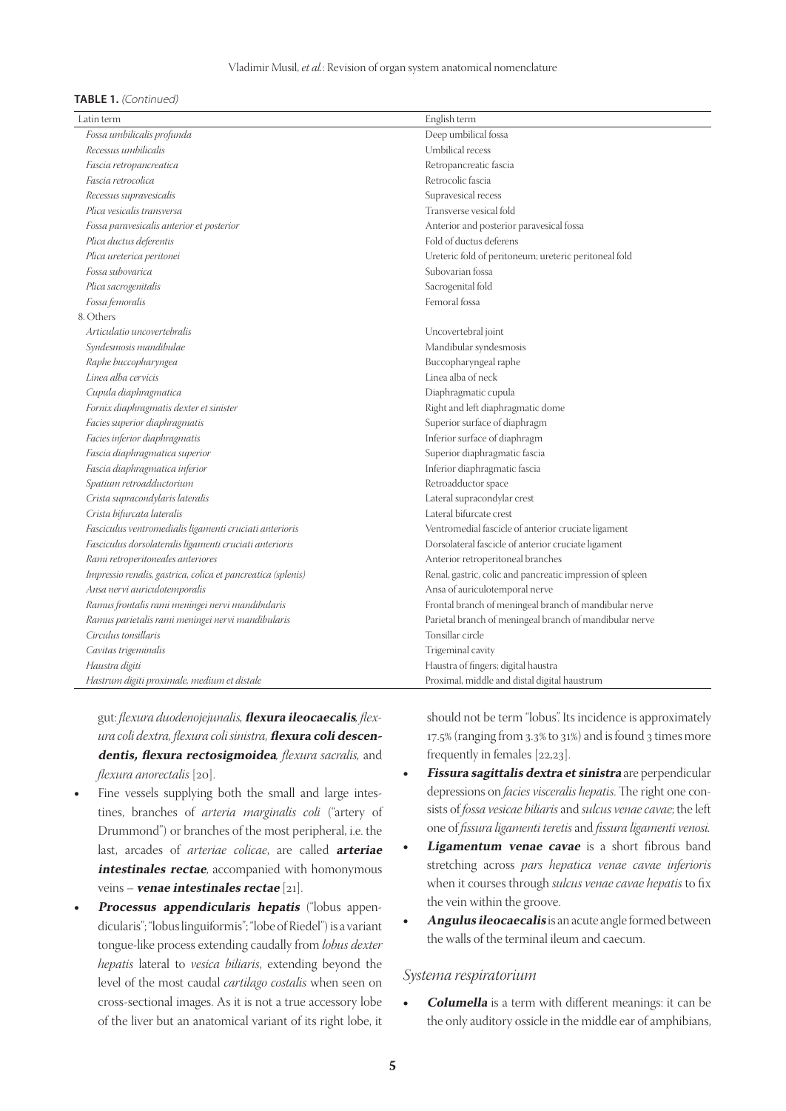#### Vladimir Musil, *et al.*: Revision of organ system anatomical nomenclature

#### **TABLE 1.** (Continued)

| Latin term                                                   | English term                                              |
|--------------------------------------------------------------|-----------------------------------------------------------|
| Fossa umbilicalis profunda                                   | Deep umbilical fossa                                      |
| Recessus umbilicalis                                         | Umbilical recess                                          |
| Fascia retropancreatica                                      | Retropancreatic fascia                                    |
| Fascia retrocolica                                           | Retrocolic fascia                                         |
| Recessus supravesicalis                                      | Supravesical recess                                       |
| Plica vesicalis transversa                                   | Transverse vesical fold                                   |
| Fossa paravesicalis anterior et posterior                    | Anterior and posterior paravesical fossa                  |
| Plica ductus deferentis                                      | Fold of ductus deferens                                   |
| Plica ureterica peritonei                                    | Ureteric fold of peritoneum; ureteric peritoneal fold     |
| Fossa subovarica                                             | Subovarian fossa                                          |
| Plica sacrogenitalis                                         | Sacrogenital fold                                         |
| Fossa femoralis                                              | Femoral fossa                                             |
| 8. Others                                                    |                                                           |
| Articulatio uncovertebralis                                  | Uncovertebral joint                                       |
| Syndesmosis mandibulae                                       | Mandibular syndesmosis                                    |
| Raphe buccopharyngea                                         | Buccopharyngeal raphe                                     |
| Linea alba cervicis                                          | Linea alba of neck                                        |
| Cupula diaphragmatica                                        | Diaphragmatic cupula                                      |
| Fornix diaphragmatis dexter et sinister                      | Right and left diaphragmatic dome                         |
| Facies superior diaphragmatis                                | Superior surface of diaphragm                             |
| Facies inferior diaphragmatis                                | Inferior surface of diaphragm                             |
| Fascia diaphragmatica superior                               | Superior diaphragmatic fascia                             |
| Fascia diaphragmatica inferior                               | Inferior diaphragmatic fascia                             |
| Spatium retroadductorium                                     | Retroadductor space                                       |
| Crista supracondylaris lateralis                             | Lateral supracondylar crest                               |
| Crista bifurcata lateralis                                   | Lateral bifurcate crest                                   |
| Fasciculus ventromedialis ligamenti cruciati anterioris      | Ventromedial fascicle of anterior cruciate ligament       |
| Fasciculus dorsolateralis ligamenti cruciati anterioris      | Dorsolateral fascicle of anterior cruciate ligament       |
| Rami retroperitoneales anteriores                            | Anterior retroperitoneal branches                         |
| Impressio renalis, gastrica, colica et pancreatica (splenis) | Renal, gastric, colic and pancreatic impression of spleen |
| Ansa nervi auriculotemporalis                                | Ansa of auriculotemporal nerve                            |
| Ramus frontalis rami meningei nervi mandibularis             | Frontal branch of meningeal branch of mandibular nerve    |
| Ramus parietalis rami meningei nervi mandibularis            | Parietal branch of meningeal branch of mandibular nerve   |
| Circulus tonsillaris                                         | Tonsillar circle                                          |
| Cavitas trigeminalis                                         | Trigeminal cavity                                         |
| Haustra digiti                                               | Haustra of fingers; digital haustra                       |
| Hastrum digiti proximale, medium et distale                  | Proximal, middle and distal digital haustrum              |

gut: *flexura duodenojejunalis,* **flexura ileocaecalis***, flex‑ ura coli dextra, flexura coli sinistra,* **flexura coli descendentis, flexura rectosigmoidea***, flexura sacralis,* and *flexura anorectalis* [20].

- Fine vessels supplying both the small and large intestines, branches of *arteria marginalis coli* ("artery of Drummond") or branches of the most peripheral, i.e. the last, arcades of *arteriae colicae*, are called **arteriae intestinales rectae**, accompanied with homonymous veins – **venae intestinales rectae** [21].
- Processus appendicularis hepatis<sup>("lobus appen-</sup> dicularis"; "lobus linguiformis"; "lobe of Riedel") is a variant tongue‑like process extending caudally from *lobus dexter hepatis* lateral to *vesica biliaris*, extending beyond the level of the most caudal *cartilago costalis* when seen on cross‑sectional images. As it is not a true accessory lobe of the liver but an anatomical variant of its right lobe, it

should not be term "lobus". Its incidence is approximately 17.5% (ranging from 3.3% to 31%) and is found 3 times more frequently in females [22,23].

- • **Fissura sagittalis dextra et sinistra** are perpendicular depressions on *facies visceralis hepatis*. The right one consists of *fossa vesicae biliaris* and *sulcus venae cavae*; the left one of *fissura ligamenti teretis* and *fissura ligamenti venosi.*
- • **Ligamentum venae cavae** is a short fibrous band stretching across *pars hepatica venae cavae inferioris* when it courses through *sulcus venae cavae hepatis* to fix the vein within the groove.
- Angulus *ileocaecalis* is an acute angle formed between the walls of the terminal ileum and caecum.

#### *Systema respiratorium*

• **Columella** is a term with different meanings: it can be the only auditory ossicle in the middle ear of amphibians,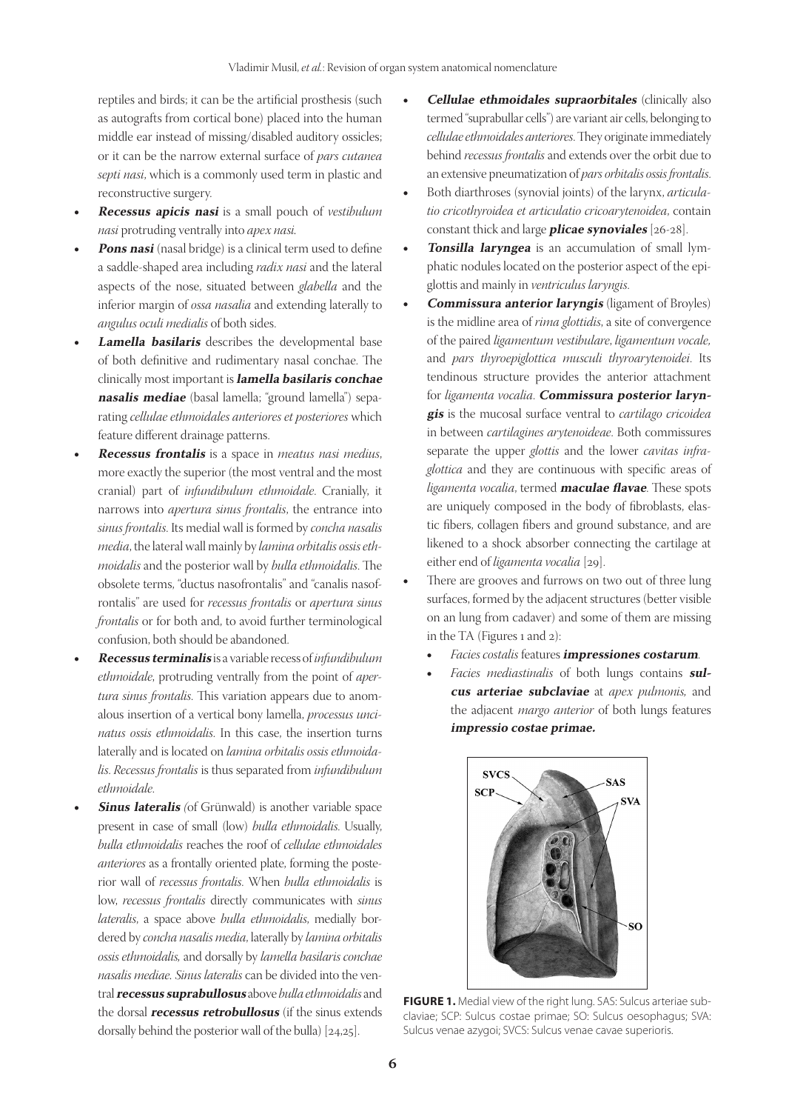reptiles and birds; it can be the artificial prosthesis (such as autografts from cortical bone) placed into the human middle ear instead of missing/disabled auditory ossicles; or it can be the narrow external surface of *pars cutanea septi nasi*, which is a commonly used term in plastic and reconstructive surgery.

- • **Recessus apicis nasi** is a small pouch of *vestibulum nasi* protruding ventrally into *apex nasi.*
- Pons nasi (nasal bridge) is a clinical term used to define a saddle‑shaped area including *radix nasi* and the lateral aspects of the nose, situated between *glabella* and the inferior margin of *ossa nasalia* and extending laterally to *angulus oculi medialis* of both sides.
- **Lamella basilaris** describes the developmental base of both definitive and rudimentary nasal conchae. The clinically most important is **lamella basilaris conchae nasalis mediae** (basal lamella; "ground lamella") sepa‑ rating *cellulae ethmoidales anteriores et posteriores* which feature different drainage patterns.
- • **Recessus frontalis** is a space in *meatus nasi medius*, more exactly the superior (the most ventral and the most cranial) part of *infundibulum ethmoidale*. Cranially, it narrows into *apertura sinus frontalis*, the entrance into *sinus frontalis*. Its medial wall is formed by *concha nasalis media*, the lateral wall mainly by *lamina orbitalis ossis eth‑ moidalis* and the posterior wall by *bulla ethmoidalis*. The obsolete terms, "ductus nasofrontalis" and "canalis nasofrontalis" are used for *recessus frontalis* or *apertura sinus frontalis* or for both and, to avoid further terminological confusion, both should be abandoned.
- • **Recessus terminalis** is a variable recess of *infundibulum ethmoidale*, protruding ventrally from the point of *aper‑ tura sinus frontalis*. This variation appears due to anomalous insertion of a vertical bony lamella, *processus unci‑ natus ossis ethmoidalis*. In this case, the insertion turns laterally and is located on *lamina orbitalis ossis ethmoida‑ lis*. *Recessus frontalis* is thus separated from *infundibulum ethmoidale*.
- **Sinus lateralis** (of Grünwald) is another variable space present in case of small (low) *bulla ethmoidalis*. Usually, *bulla ethmoidalis* reaches the roof of *cellulae ethmoidales anteriores* as a frontally oriented plate, forming the posterior wall of *recessus frontalis*. When *bulla ethmoidalis* is low, *recessus frontalis* directly communicates with *sinus lateralis*, a space above *bulla ethmoidalis*, medially bordered by *concha nasalis media*, laterally by *lamina orbitalis ossis ethmoidalis,* and dorsally by *lamella basilaris conchae nasalis mediae. Sinus lateralis* can be divided into the ventral **recessus suprabullosus** above *bulla ethmoidalis* and the dorsal **recessus retrobullosus** (if the sinus extends dorsally behind the posterior wall of the bulla) [24,25].
- **Cellulae ethmoidales supraorbitales** (clinically also termed "suprabullar cells") are variant air cells, belonging to *cellulae ethmoidales anteriores*. They originate immediately behind *recessus frontalis* and extends over the orbit due to an extensive pneumatization of *pars orbitalis ossis frontalis*.
- Both diarthroses (synovial joints) of the larynx, *articulatio cricothyroidea et articulatio cricoarytenoidea*, contain constant thick and large **plicae synoviales** [26‑28].
- **Tonsilla laryngea** is an accumulation of small lymphatic nodules located on the posterior aspect of the epiglottis and mainly in *ventriculus laryngis*.
- • **Commissura anterior laryngis** (ligament of Broyles) is the midline area of *rima glottidis*, a site of convergence of the paired *ligamentum vestibulare*, *ligamentum vocale,*  and *pars thyroepiglottica musculi thyroarytenoidei*. Its tendinous structure provides the anterior attachment for *ligamenta vocalia*. **Commissura posterior laryngis** is the mucosal surface ventral to *cartilago cricoidea* in between *cartilagines arytenoideae*. Both commissures separate the upper *glottis* and the lower *cavitas infra‑ glottica* and they are continuous with specific areas of *ligamenta vocalia*, termed **maculae flavae**. These spots are uniquely composed in the body of fibroblasts, elastic fibers, collagen fibers and ground substance, and are likened to a shock absorber connecting the cartilage at either end of *ligamenta vocalia* [29].
- There are grooves and furrows on two out of three lung surfaces, formed by the adjacent structures (better visible on an lung from cadaver) and some of them are missing in the TA (Figures 1 and 2):
	- *Facies costalis* features **impressiones costarum**.
	- *Facies mediastinalis* of both lungs contains **sulcus arteriae subclaviae** at *apex pulmonis,* and the adjacent *margo anterior* of both lungs features **impressio costae primae.**



FIGURE 1. Medial view of the right lung. SAS: Sulcus arteriae subclaviae; SCP: Sulcus costae primae; SO: Sulcus oesophagus; SVA: Sulcus venae azygoi; SVCS: Sulcus venae cavae superioris.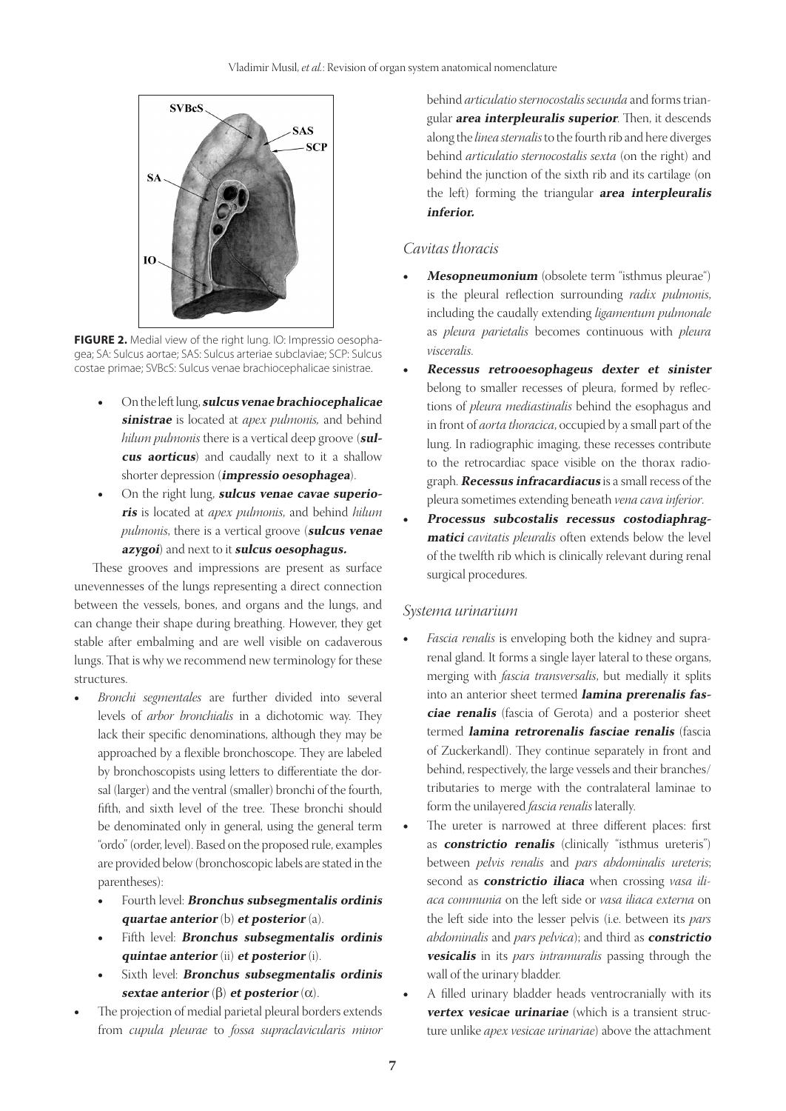

FIGURE 2. Medial view of the right lung. IO: Impressio oesophagea; SA: Sulcus aortae; SAS: Sulcus arteriae subclaviae; SCP: Sulcus costae primae; SVBcS: Sulcus venae brachiocephalicae sinistrae.

- On the left lung, **sulcus venae brachiocephalicae sinistrae** is located at *apex pulmonis,* and behind *hilum pulmonis* there is a vertical deep groove (**sulcus aorticus**) and caudally next to it a shallow shorter depression (**impressio oesophagea**).
- On the right lung, **sulcus venae cavae superioris** is located at *apex pulmonis*, and behind *hilum pulmonis*, there is a vertical groove (**sulcus venae azygoi**) and next to it **sulcus oesophagus.**

These grooves and impressions are present as surface unevennesses of the lungs representing a direct connection between the vessels, bones, and organs and the lungs, and can change their shape during breathing. However, they get stable after embalming and are well visible on cadaverous lungs. That is why we recommend new terminology for these structures.

- Bronchi segmentales are further divided into several levels of *arbor bronchialis* in a dichotomic way. They lack their specific denominations, although they may be approached by a flexible bronchoscope. They are labeled by bronchoscopists using letters to differentiate the dorsal (larger) and the ventral (smaller) bronchi of the fourth, fifth, and sixth level of the tree. These bronchi should be denominated only in general, using the general term "ordo" (order, level). Based on the proposed rule, examples are provided below (bronchoscopic labels are stated in the parentheses):
	- Fourth level: **Bronchus subsegmentalis ordinis quartae anterior** (b) **et posterior** (a).
	- Fifth level: **Bronchus subsegmentalis ordinis quintae anterior** (ii) **et posterior** (i).
	- Sixth level: **Bronchus subsegmentalis ordinis sextae anterior** (β) **et posterior** (α).
- The projection of medial parietal pleural borders extends from *cupula pleurae* to *fossa supraclavicularis minor*

behind *articulatio sternocostalis secunda* and forms triangular **area interpleuralis superior**. Then, it descends along the *linea sternalis* to the fourth rib and here diverges behind *articulatio sternocostalis sexta* (on the right) and behind the junction of the sixth rib and its cartilage (on the left) forming the triangular **area interpleuralis inferior.**

## *Cavitas thoracis*

- **Mesopneumonium** (obsolete term "isthmus pleurae") is the pleural reflection surrounding *radix pulmonis*, including the caudally extending *ligamentum pulmonale* as *pleura parietalis* becomes continuous with *pleura visceralis*.
- Recessus retrooesophageus dexter et sinister belong to smaller recesses of pleura, formed by reflections of *pleura mediastinalis* behind the esophagus and in front of *aorta thoracica*, occupied by a small part of the lung. In radiographic imaging, these recesses contribute to the retrocardiac space visible on the thorax radiograph. **Recessus infracardiacus** is a small recess of the pleura sometimes extending beneath *vena cava inferior*.
- Processus subcostalis recessus costodiaphrag**matici** *cavitatis pleuralis* often extends below the level of the twelfth rib which is clinically relevant during renal surgical procedures.

#### *Systema urinarium*

- *Fascia renalis* is enveloping both the kidney and suprarenal gland. It forms a single layer lateral to these organs, merging with *fascia transversalis*, but medially it splits into an anterior sheet termed **lamina prerenalis fasciae renalis** (fascia of Gerota) and a posterior sheet termed **lamina retrorenalis fasciae renalis** (fascia of Zuckerkandl). They continue separately in front and behind, respectively, the large vessels and their branches/ tributaries to merge with the contralateral laminae to form the unilayered *fascia renalis* laterally.
- The ureter is narrowed at three different places: first as **constrictio renalis** (clinically "isthmus ureteris") between *pelvis renalis* and *pars abdominalis ureteris*; second as **constrictio iliaca** when crossing *vasa iliaca communia* on the left side or *vasa iliaca externa* on the left side into the lesser pelvis (i.e. between its *pars abdominalis* and *pars pelvica*); and third as **constrictio vesicalis** in its *pars intramuralis* passing through the wall of the urinary bladder.
- A filled urinary bladder heads ventrocranially with its **vertex vesicae urinariae** (which is a transient structure unlike *apex vesicae urinariae*) above the attachment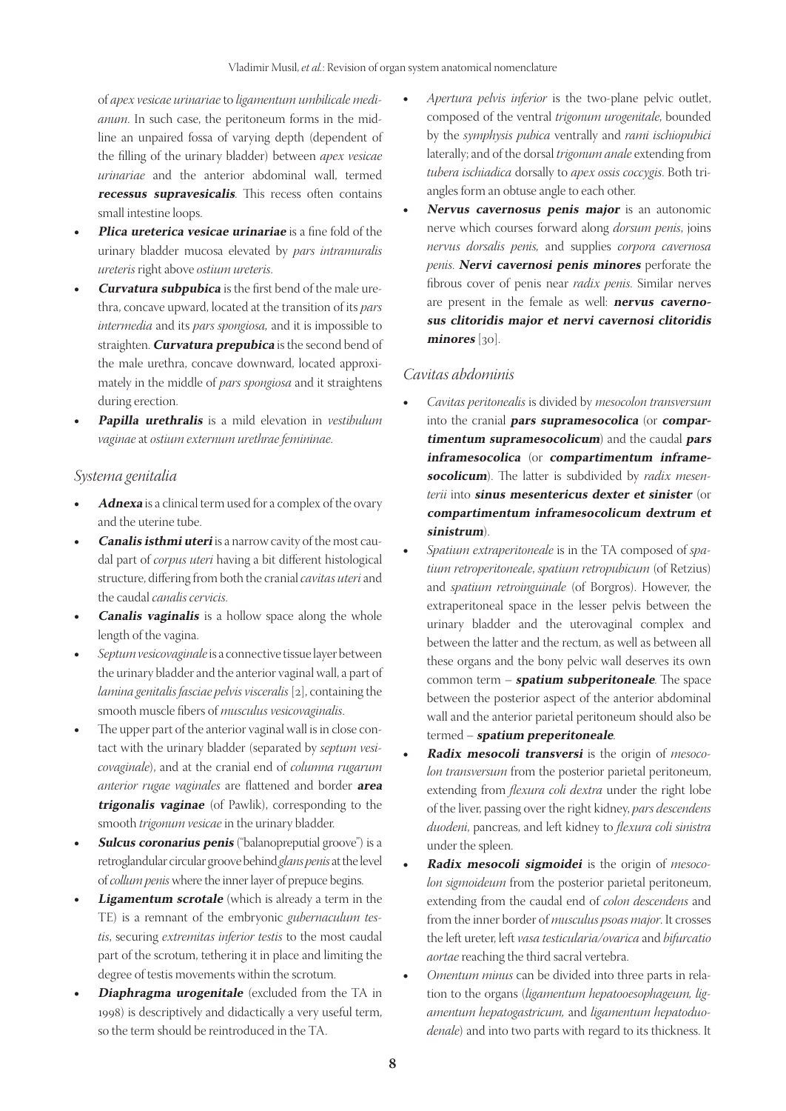of *apex vesicae urinariae* to *ligamentum umbilicale medi‑ anum*. In such case, the peritoneum forms in the midline an unpaired fossa of varying depth (dependent of the filling of the urinary bladder) between *apex vesicae urinariae* and the anterior abdominal wall, termed **recessus supravesicalis**. This recess often contains small intestine loops.

- **Plica ureterica vesicae urinariae** is a fine fold of the urinary bladder mucosa elevated by *pars intramuralis ureteris* right above *ostium ureteris*.
- **Curvatura subpubica** is the first bend of the male urethra, concave upward, located at the transition of its *pars intermedia* and its *pars spongiosa,* and it is impossible to straighten. **Curvatura prepubica** is the second bend of the male urethra, concave downward, located approximately in the middle of *pars spongiosa* and it straightens during erection.
- **Papilla urethralis** is a mild elevation in *vestibulum vaginae* at *ostium externum urethrae femininae*.

## *Systema genitalia*

- Adnexa is a clinical term used for a complex of the ovary and the uterine tube.
- *Canalis isthmi uteri* is a narrow cavity of the most caudal part of *corpus uteri* having a bit different histological structure, differing from both the cranial *cavitas uteri* and the caudal *canalis cervicis*.
- **Canalis vaginalis** is a hollow space along the whole length of the vagina.
- Septum vesicovaginale is a connective tissue layer between the urinary bladder and the anterior vaginal wall, a part of *lamina genitalis fasciae pelvis visceralis* [2], containing the smooth muscle fibers of *musculus vesicovaginalis*.
- The upper part of the anterior vaginal wall is in close contact with the urinary bladder (separated by *septum vesi‑ covaginale*), and at the cranial end of *columna rugarum anterior rugae vaginales* are flattened and border **area trigonalis vaginae** (of Pawlik), corresponding to the smooth *trigonum vesicae* in the urinary bladder.
- **Sulcus coronarius penis** ("balanopreputial groove") is a retroglandular circular groove behind *glans penis* at the level of *collum penis* where the inner layer of prepuce begins.
- **Ligamentum scrotale** (which is already a term in the TE) is a remnant of the embryonic *gubernaculum tes‑ tis*, securing *extremitas inferior testis* to the most caudal part of the scrotum, tethering it in place and limiting the degree of testis movements within the scrotum.
- **Diaphragma urogenitale** (excluded from the TA in 1998) is descriptively and didactically a very useful term, so the term should be reintroduced in the TA.
- Apertura pelvis inferior is the two-plane pelvic outlet, composed of the ventral *trigonum urogenitale*, bounded by the *symphysis pubica* ventrally and *rami ischiopubici* laterally; and of the dorsal *trigonum anale* extending from *tubera ischiadica* dorsally to *apex ossis coccygis*. Both tri‑ angles form an obtuse angle to each other.
- Nervus cavernosus penis major is an autonomic nerve which courses forward along *dorsum penis*, joins *nervus dorsalis penis,* and supplies *corpora cavernosa penis*. **Nervi cavernosi penis minores** perforate the fibrous cover of penis near *radix penis*. Similar nerves are present in the female as well: **nervus cavernosus clitoridis major et nervi cavernosi clitoridis minores** [30].

## *Cavitas abdominis*

- • *Cavitas peritonealis* is divided by *mesocolon transversum*  into the cranial **pars supramesocolica** (or **compartimentum supramesocolicum**) and the caudal **pars inframesocolica**  (or **compartimentum inframe**socolicum). The latter is subdivided by *radix mesenterii* into **sinus mesentericus dexter et sinister** (or **compartimentum inframesocolicum dextrum et sinistrum**).
- Spatium extraperitoneale is in the TA composed of *spatium retroperitoneale*, *spatium retropubicum* (of Retzius) and *spatium retroinguinale* (of Borgros). However, the extraperitoneal space in the lesser pelvis between the urinary bladder and the uterovaginal complex and between the latter and the rectum, as well as between all these organs and the bony pelvic wall deserves its own common term – **spatium subperitoneale**. The space between the posterior aspect of the anterior abdominal wall and the anterior parietal peritoneum should also be termed – **spatium preperitoneale**.
- • **Radix mesocoli transversi** is the origin of *mesoco‑ lon transversum* from the posterior parietal peritoneum, extending from *flexura coli dextra* under the right lobe of the liver, passing over the right kidney, *pars descendens duodeni*, pancreas, and left kidney to *flexura coli sinistra*  under the spleen.
- • **Radix mesocoli sigmoidei** is the origin of *mesoco‑ lon sigmoideum* from the posterior parietal peritoneum, extending from the caudal end of *colon descendens* and from the inner border of *musculus psoas major*. It crosses the left ureter, left *vasa testicularia/ovarica* and *bifurcatio aortae* reaching the third sacral vertebra.
- *Omentum minus* can be divided into three parts in relation to the organs (*ligamentum hepatooesophageum, lig‑ amentum hepatogastricum,* and *ligamentum hepatoduo‑ denale*) and into two parts with regard to its thickness. It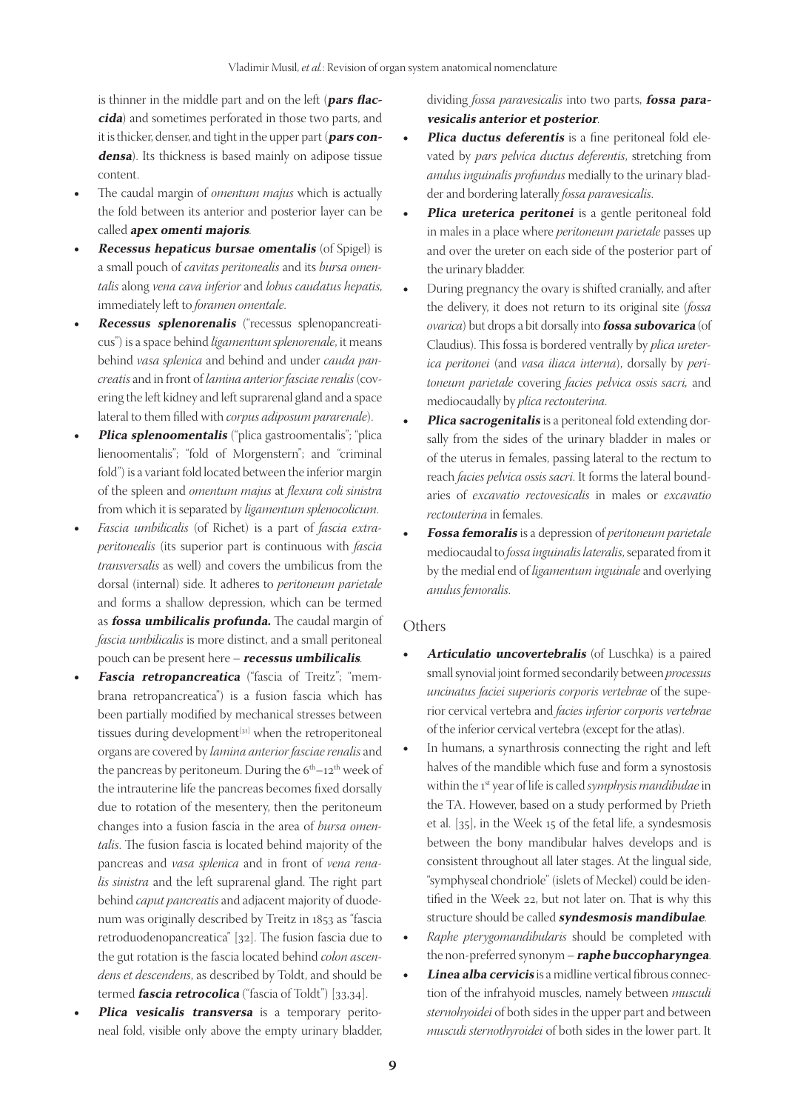is thinner in the middle part and on the left (**pars flaccida**) and sometimes perforated in those two parts, and it is thicker, denser, and tight in the upper part (**pars condensa**). Its thickness is based mainly on adipose tissue content.

- The caudal margin of *omentum majus* which is actually the fold between its anterior and posterior layer can be called **apex omenti majoris**.
- **Recessus hepaticus bursae omentalis** (of Spigel) is a small pouch of *cavitas peritonealis* and its *bursa omen‑ talis* along *vena cava inferior* and *lobus caudatus hepatis*, immediately left to *foramen omentale*.
- **Recessus splenorenalis** ("recessus splenopancreaticus") is a space behind *ligamentum splenorenale*, it means behind *vasa splenica* and behind and under *cauda pan‑ creatis* and in front of *lamina anterior fasciae renalis* (cov‑ ering the left kidney and left suprarenal gland and a space lateral to them filled with *corpus adiposum pararenale*).
- **Plica splenoomentalis** ("plica gastroomentalis"; "plica lienoomentalis"; "fold of Morgenstern"; and "criminal fold") is a variant fold located between the inferior margin of the spleen and *omentum majus* at *flexura coli sinistra* from which it is separated by *ligamentum splenocolicum*.
- *Fascia umbilicalis* (of Richet) is a part of *fascia extraperitonealis* (its superior part is continuous with *fascia transversalis* as well) and covers the umbilicus from the dorsal (internal) side. It adheres to *peritoneum parietale*  and forms a shallow depression, which can be termed as **fossa umbilicalis profunda.** The caudal margin of *fascia umbilicalis* is more distinct, and a small peritoneal pouch can be present here – **recessus umbilicalis**.
- **Fascia retropancreatica** ("fascia of Treitz"; "membrana retropancreatica") is a fusion fascia which has been partially modified by mechanical stresses between tissues during development<sup>[31]</sup> when the retroperitoneal organs are covered by *lamina anterior fasciae renalis* and the pancreas by peritoneum. During the  $6<sup>th</sup>-12<sup>th</sup>$  week of the intrauterine life the pancreas becomes fixed dorsally due to rotation of the mesentery, then the peritoneum changes into a fusion fascia in the area of *bursa omen‑ talis*. The fusion fascia is located behind majority of the pancreas and *vasa splenica* and in front of *vena rena‑ lis sinistra* and the left suprarenal gland. The right part behind *caput pancreatis* and adjacent majority of duodenum was originally described by Treitz in 1853 as "fascia retroduodenopancreatica" [32]. The fusion fascia due to the gut rotation is the fascia located behind *colon ascen‑ dens et descendens*, as described by Toldt, and should be termed **fascia retrocolica** ("fascia of Toldt") [33,34].
- Plica vesicalis transversa is a temporary peritoneal fold, visible only above the empty urinary bladder,

dividing *fossa paravesicalis* into two parts, **fossa paravesicalis anterior et posterior**.

- Plica ductus deferentis is a fine peritoneal fold elevated by *pars pelvica ductus deferentis*, stretching from *anulus inguinalis profundus* medially to the urinary blad‑ der and bordering laterally *fossa paravesicalis*.
- **Plica ureterica peritonei** is a gentle peritoneal fold in males in a place where *peritoneum parietale* passes up and over the ureter on each side of the posterior part of the urinary bladder.
- During pregnancy the ovary is shifted cranially, and after the delivery, it does not return to its original site (*fossa ovarica*) but drops a bit dorsally into **fossa subovarica** (of Claudius). This fossa is bordered ventrally by *plica ureter‑ ica peritonei* (and *vasa iliaca interna*), dorsally by *peri‑ toneum parietale* covering *facies pelvica ossis sacri,* and mediocaudally by *plica rectouterina*.
- **Plica sacrogenitalis** is a peritoneal fold extending dorsally from the sides of the urinary bladder in males or of the uterus in females, passing lateral to the rectum to reach *facies pelvica ossis sacri*. It forms the lateral boundaries of *excavatio rectovesicalis* in males or *excavatio rectouterina* in females.
- **Fossa femoralis** is a depression of *peritoneum parietale* mediocaudal to *fossa inguinalis lateralis*, separated from it by the medial end of *ligamentum inguinale* and overlying *anulus femoralis*.

#### **Others**

- Articulatio uncovertebralis (of Luschka) is a paired small synovial joint formed secondarily between *processus uncinatus faciei superioris corporis vertebrae* of the supe‑ rior cervical vertebra and *facies inferior corporis vertebrae*  of the inferior cervical vertebra (except for the atlas).
- In humans, a synarthrosis connecting the right and left halves of the mandible which fuse and form a synostosis within the 1st year of life is called *symphysis mandibulae* in the TA. However, based on a study performed by Prieth et al. [35], in the Week 15 of the fetal life, a syndesmosis between the bony mandibular halves develops and is consistent throughout all later stages. At the lingual side, "symphyseal chondriole" (islets of Meckel) could be identified in the Week 22, but not later on. That is why this structure should be called **syndesmosis mandibulae**.
- Raphe pterygomandibularis should be completed with the non‑preferred synonym – **raphe buccopharyngea**.
- Linea alba cervicis is a midline vertical fibrous connection of the infrahyoid muscles, namely between *musculi sternohyoidei* of both sides in the upper part and between *musculi sternothyroidei* of both sides in the lower part. It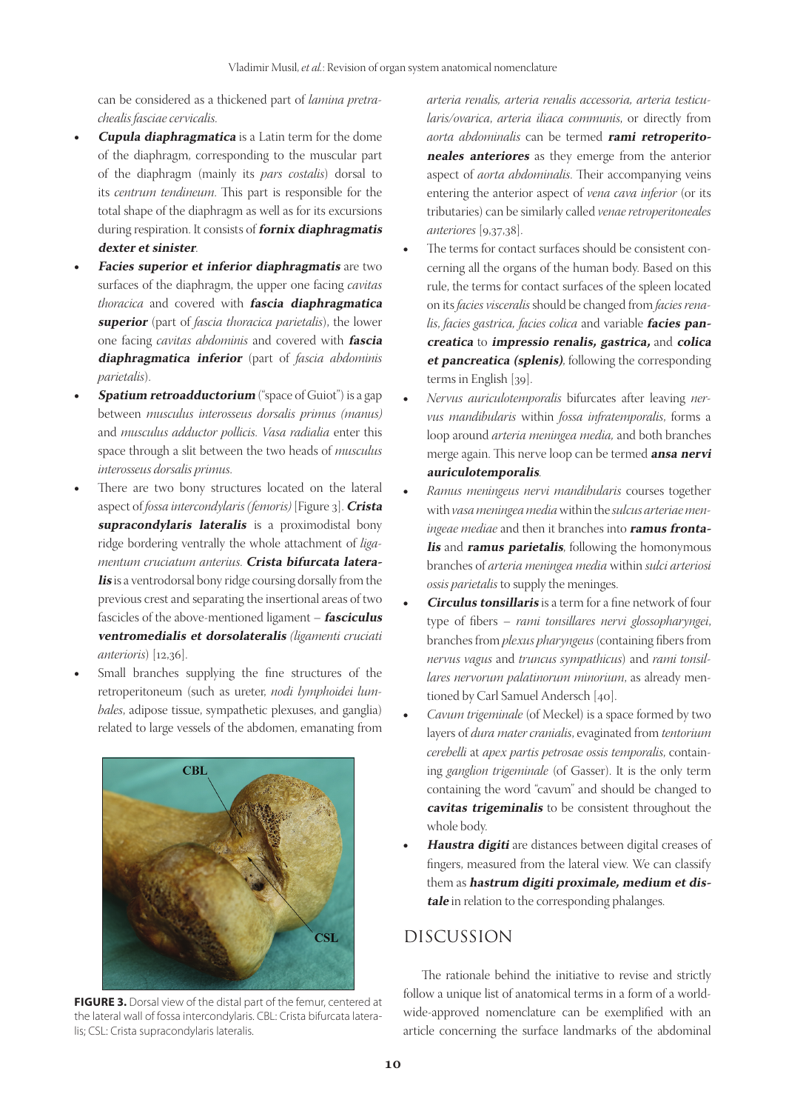can be considered as a thickened part of *lamina pretra‑ chealis fasciae cervicalis*.

- **Cupula diaphragmatica** is a Latin term for the dome of the diaphragm, corresponding to the muscular part of the diaphragm (mainly its *pars costalis*) dorsal to its *centrum tendineum*. This part is responsible for the total shape of the diaphragm as well as for its excursions during respiration. It consists of **fornix diaphragmatis dexter et sinister**.
- **Facies superior et inferior diaphragmatis** are two surfaces of the diaphragm, the upper one facing *cavitas thoracica* and covered with **fascia diaphragmatica superior** (part of *fascia thoracica parietalis*), the lower one facing *cavitas abdominis* and covered with **fascia diaphragmatica inferior** (part of *fascia abdominis parietalis*).
- **Spatium retroadductorium** ("space of Guiot") is a gap between *musculus interosseus dorsalis primus (manus)*  and *musculus adductor pollicis*. *Vasa radialia* enter this space through a slit between the two heads of *musculus interosseus dorsalis primus*.
- There are two bony structures located on the lateral aspect of *fossa intercondylaris (femoris)* [Figure 3]. **Crista supracondylaris lateralis** is a proximodistal bony ridge bordering ventrally the whole attachment of *liga‑ mentum cruciatum anterius*. **Crista bifurcata lateralis** is a ventrodorsal bony ridge coursing dorsally from the previous crest and separating the insertional areas of two fascicles of the above‑mentioned ligament – **fasciculus ventromedialis et dorsolateralis** *(ligamenti cruciati anterioris*) [12,36].
- Small branches supplying the fine structures of the retroperitoneum (such as ureter, *nodi lymphoidei lum‑ bales*, adipose tissue, sympathetic plexuses, and ganglia) related to large vessels of the abdomen, emanating from



**FIGURE 3.** Dorsal view of the distal part of the femur, centered at the lateral wall of fossa intercondylaris. CBL: Crista bifurcata lateralis; CSL: Crista supracondylaris lateralis.

*arteria renalis, arteria renalis accessoria, arteria testicu‑ laris/ovarica*, *arteria iliaca communis*, or directly from *aorta abdominalis* can be termed **rami retroperitoneales anteriores** as they emerge from the anterior aspect of *aorta abdominalis*. Their accompanying veins entering the anterior aspect of *vena cava inferior* (or its tributaries) can be similarly called *venae retroperitoneales anteriores* [9,37,38].

- The terms for contact surfaces should be consistent concerning all the organs of the human body. Based on this rule, the terms for contact surfaces of the spleen located on its *facies visceralis* should be changed from *facies rena‑ lis*, *facies gastrica, facies colica* and variable **facies pancreatica** to **impressio renalis, gastrica,** and **colica et pancreatica (splenis)**, following the corresponding terms in English [39].
- • *Nervus auriculotemporalis* bifurcates after leaving *ner‑ vus mandibularis* within *fossa infratemporalis*, forms a loop around *arteria meningea media,* and both branches merge again. This nerve loop can be termed **ansa nervi auriculotemporalis**.
- Ramus meningeus nervi mandibularis courses together with *vasa meningea media* within the *sulcus arteriae men‑ ingeae mediae* and then it branches into **ramus frontalis** and **ramus parietalis**, following the homonymous branches of *arteria meningea media* within *sulci arteriosi ossis parietalis* to supply the meninges.
- **Circulus tonsillaris** is a term for a fine network of four type of fibers – *rami tonsillares nervi glossopharyngei*, branches from *plexus pharyngeus* (containing fibers from *nervus vagus* and *truncus sympathicus*) and *rami tonsil‑* lares nervorum palatinorum minorium, as already mentioned by Carl Samuel Andersch [40].
- Cavum trigeminale (of Meckel) is a space formed by two layers of *dura mater cranialis*, evaginated from *tentorium cerebelli* at *apex partis petrosae ossis temporalis*, contain‑ ing *ganglion trigeminale* (of Gasser). It is the only term containing the word "cavum" and should be changed to **cavitas trigeminalis** to be consistent throughout the whole body.
- Haustra digiti are distances between digital creases of fingers, measured from the lateral view. We can classify them as **hastrum digiti proximale, medium et distale** in relation to the corresponding phalanges.

# DISCUSSION

The rationale behind the initiative to revise and strictly follow a unique list of anatomical terms in a form of a worldwide‑approved nomenclature can be exemplified with an article concerning the surface landmarks of the abdominal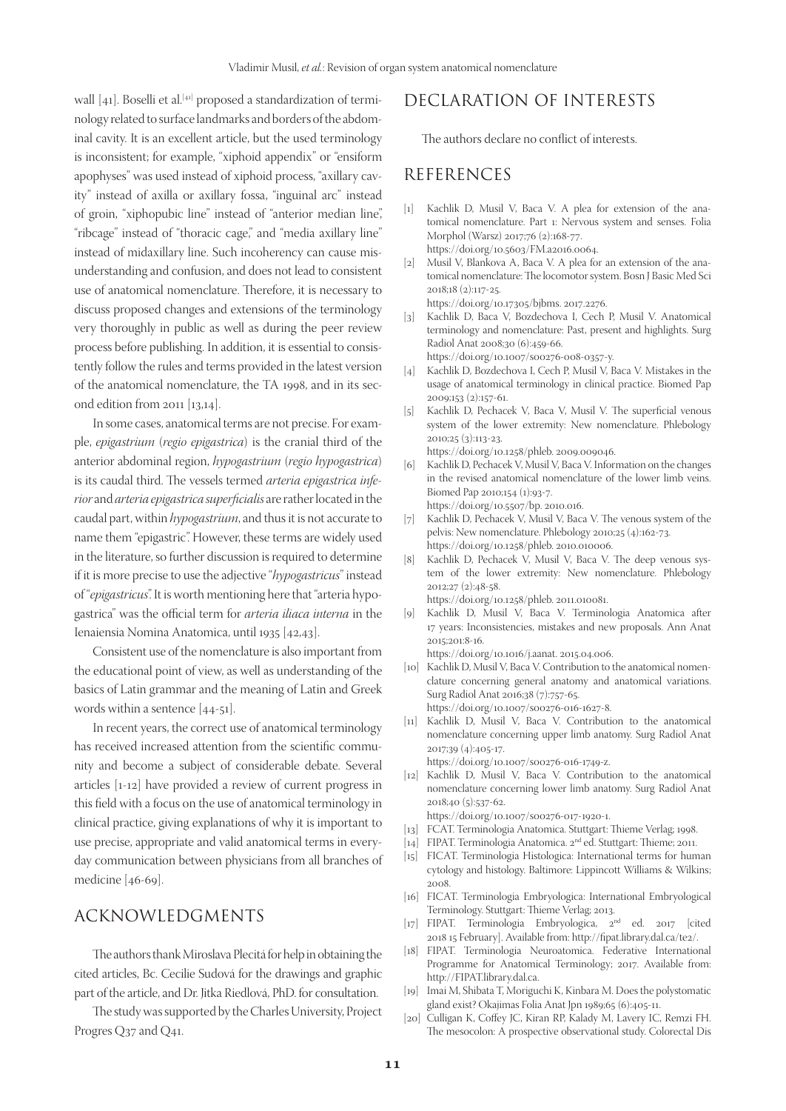wall [41]. Boselli et al.<sup>[41]</sup> proposed a standardization of terminology related to surface landmarks and borders of the abdominal cavity. It is an excellent article, but the used terminology is inconsistent; for example, "xiphoid appendix" or "ensiform apophyses" was used instead of xiphoid process, "axillary cavity" instead of axilla or axillary fossa, "inguinal arc" instead of groin, "xiphopubic line" instead of "anterior median line", "ribcage" instead of "thoracic cage," and "media axillary line" instead of midaxillary line. Such incoherency can cause misunderstanding and confusion, and does not lead to consistent use of anatomical nomenclature. Therefore, it is necessary to discuss proposed changes and extensions of the terminology very thoroughly in public as well as during the peer review process before publishing. In addition, it is essential to consistently follow the rules and terms provided in the latest version of the anatomical nomenclature, the TA 1998, and in its sec‑ ond edition from 2011 [13,14].

In some cases, anatomical terms are not precise. For example, *epigastrium* (*regio epigastrica*) is the cranial third of the anterior abdominal region, *hypogastrium* (*regio hypogastrica*) is its caudal third. The vessels termed *arteria epigastrica infe‑ rior* and *arteria epigastrica superficialis* are rather located in the caudal part, within *hypogastrium*, and thus it is not accurate to name them "epigastric". However, these terms are widely used in the literature, so further discussion is required to determine if it is more precise to use the adjective "*hypogastricus*" instead of "*epigastricus*". It is worth mentioning here that "arteria hypogastrica" was the official term for *arteria iliaca interna* in the Ienaiensia Nomina Anatomica, until 1935 [42,43].

Consistent use of the nomenclature is also important from the educational point of view, as well as understanding of the basics of Latin grammar and the meaning of Latin and Greek words within a sentence [44‑51].

In recent years, the correct use of anatomical terminology has received increased attention from the scientific community and become a subject of considerable debate. Several articles [1‑12] have provided a review of current progress in this field with a focus on the use of anatomical terminology in clinical practice, giving explanations of why it is important to use precise, appropriate and valid anatomical terms in everyday communication between physicians from all branches of medicine [46‑69].

# ACKNOWLEDGMENTS

The authors thank Miroslava Plecitá for help in obtaining the cited articles, Bc. Cecilie Sudová for the drawings and graphic part of the article, and Dr. Jitka Riedlová, PhD. for consultation.

The study was supported by the Charles University, Project Progres Q37 and Q41.

# DECLARATION OF INTERESTS

The authors declare no conflict of interests.

## REFERENCES

- [1] Kachlik D, Musil V, Baca V. A plea for extension of the anatomical nomenclature. Part 1: Nervous system and senses. Folia Morphol (Warsz) 2017;76 (2):168‑77. https://doi.org/10.5603/FM.a2016.0064.
- [2] Musil V, Blankova A, Baca V. A plea for an extension of the anatomical nomenclature: The locomotor system. Bosn J Basic Med Sci 2018;18 (2):117‑25.

https://doi.org/10.17305/bjbms. 2017.2276.

- [3] Kachlik D, Baca V, Bozdechova I, Cech P, Musil V. Anatomical terminology and nomenclature: Past, present and highlights. Surg Radiol Anat 2008;30 (6):459‑66. https://doi.org/10.1007/s00276‑008‑0357‑y.
- [4] Kachlik D, Bozdechova I, Cech P, Musil V, Baca V. Mistakes in the usage of anatomical terminology in clinical practice. Biomed Pap 2009;153 (2):157‑61.
- [5] Kachlik D, Pechacek V, Baca V, Musil V. The superficial venous system of the lower extremity: New nomenclature. Phlebology 2010;25 (3):113‑23.

https://doi.org/10.1258/phleb. 2009.009046.

- [6] Kachlik D, Pechacek V, Musil V, Baca V. Information on the changes in the revised anatomical nomenclature of the lower limb veins. Biomed Pap 2010;154 (1):93‑7. https://doi.org/10.5507/bp. 2010.016.
- [7] Kachlik D, Pechacek V, Musil V, Baca V. The venous system of the pelvis: New nomenclature. Phlebology 2010;25 (4):162‑73. https://doi.org/10.1258/phleb. 2010.010006.
- [8] Kachlik D, Pechacek V, Musil V, Baca V. The deep venous system of the lower extremity: New nomenclature. Phlebology 2012;27 (2):48‑58. https://doi.org/10.1258/phleb. 2011.010081.
- [9] Kachlik D, Musil V, Baca V. Terminologia Anatomica after 17 years: Inconsistencies, mistakes and new proposals. Ann Anat 2015;201:8‑16.

https://doi.org/10.1016/j.aanat. 2015.04.006.

- [10] Kachlik D, Musil V, Baca V. Contribution to the anatomical nomenclature concerning general anatomy and anatomical variations. Surg Radiol Anat 2016;38 (7):757‑65. https://doi.org/10.1007/s00276‑016‑1627‑8.
- [11] Kachlik D, Musil V, Baca V. Contribution to the anatomical nomenclature concerning upper limb anatomy. Surg Radiol Anat 2017;39 (4):405‑17.

https://doi.org/10.1007/s00276‑016‑1749‑z.

[12] Kachlik D, Musil V, Baca V. Contribution to the anatomical nomenclature concerning lower limb anatomy. Surg Radiol Anat 2018;40 (5):537‑62.

https://doi.org/10.1007/s00276‑017‑1920‑1.

- [13] FCAT. Terminologia Anatomica. Stuttgart: Thieme Verlag; 1998.
- [14] FIPAT. Terminologia Anatomica. 2nd ed. Stuttgart: Thieme; 2011.
- [15] FICAT. Terminologia Histologica: International terms for human cytology and histology. Baltimore: Lippincott Williams & Wilkins; 2008.
- [16] FICAT. Terminologia Embryologica: International Embryological Terminology. Stuttgart: Thieme Verlag; 2013.
- [17] FIPAT. Terminologia Embryologica, 2nd ed. 2017 [cited 2018 15 February]. Available from: http://fipat.library.dal.ca/te2/.
- [18] FIPAT. Terminologia Neuroatomica. Federative International Programme for Anatomical Terminology; 2017. Available from: http://FIPAT.library.dal.ca.
- [19] Imai M, Shibata T, Moriguchi K, Kinbara M. Does the polystomatic gland exist? Okajimas Folia Anat Jpn 1989;65 (6):405‑11.
- [20] Culligan K, Coffey JC, Kiran RP, Kalady M, Lavery IC, Remzi FH. The mesocolon: A prospective observational study. Colorectal Dis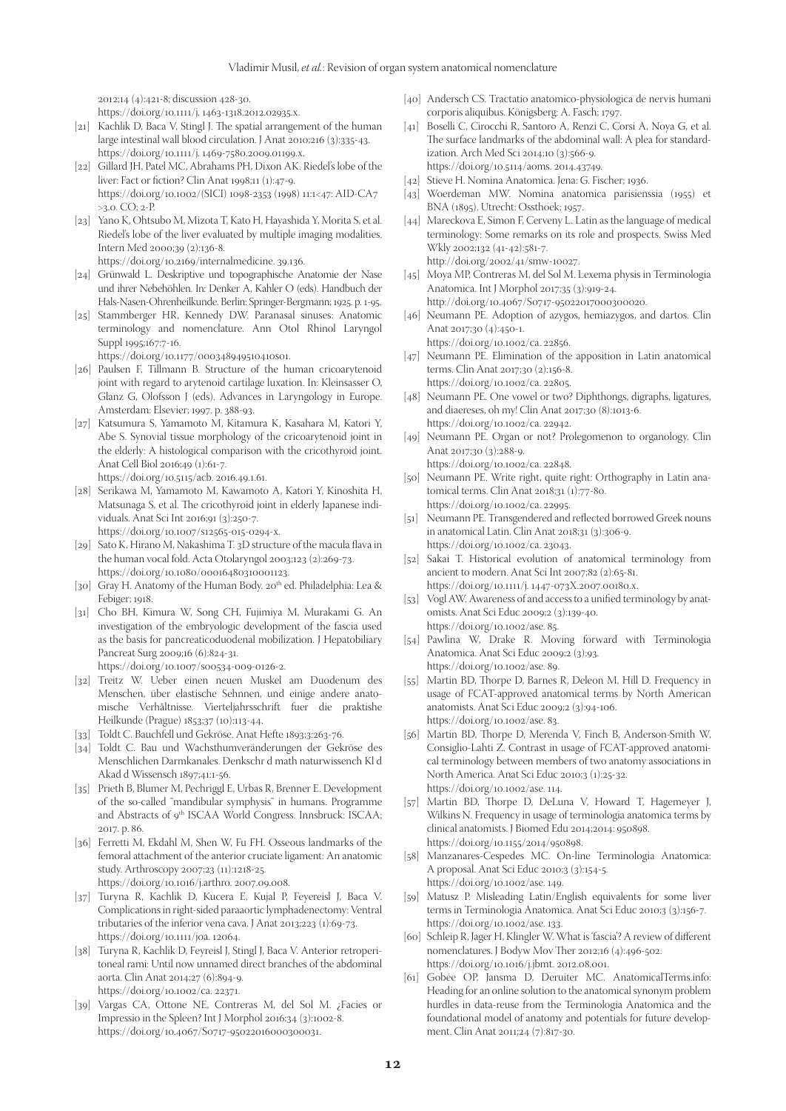2012;14 (4):421‑8; discussion 428‑30.

https://doi.org/10.1111/j. 1463‑1318.2012.02935.x.

- [21] Kachlik D, Baca V, Stingl J. The spatial arrangement of the human large intestinal wall blood circulation. J Anat 2010;216 (3):335‑43. https://doi.org/10.1111/j. 1469‑7580.2009.01199.x.
- [22] Gillard JH, Patel MC, Abrahams PH, Dixon AK. Riedel's lobe of the liver: Fact or fiction? Clin Anat 1998;11 (1):47‑9. https://doi.org/10.1002/(SICI) 1098‑2353 (1998) 11:1<47: AID‑CA7  $>3.0.$  CO:  $2-P$ .
- [23] Yano K, Ohtsubo M, Mizota T, Kato H, Hayashida Y, Morita S, et al. Riedel's lobe of the liver evaluated by multiple imaging modalities. Intern Med 2000;39 (2):136‑8.

https://doi.org/10.2169/internalmedicine. 39.136.

- [24] Grünwald L. Deskriptive und topographische Anatomie der Nase und ihrer Nebehöhlen. In: Denker A, Kahler O (eds). Handbuch der Hals‑Nasen‑Ohrenheilkunde. Berlin: Springer‑Bergmann; 1925. p. 1‑95.
- [25] Stammberger HR, Kennedy DW. Paranasal sinuses: Anatomic terminology and nomenclature. Ann Otol Rhinol Laryngol Suppl 1995;167:7‑16.

https://doi.org/10.1177/000348949510410s01.

- [26] Paulsen F, Tillmann B. Structure of the human cricoarytenoid joint with regard to arytenoid cartilage luxation. In: Kleinsasser O, Glanz G, Olofsson J (eds). Advances in Laryngology in Europe. Amsterdam: Elsevier; 1997. p. 388‑93.
- [27] Katsumura S, Yamamoto M, Kitamura K, Kasahara M, Katori Y, Abe S. Synovial tissue morphology of the cricoarytenoid joint in the elderly: A histological comparison with the cricothyroid joint. Anat Cell Biol 2016;49 (1):61‑7. https://doi.org/10.5115/acb. 2016.49.1.61.
- [28] Serikawa M, Yamamoto M, Kawamoto A, Katori Y, Kinoshita H, Matsunaga S, et al. The cricothyroid joint in elderly Japanese individuals. Anat Sci Int 2016;91 (3):250‑7.

https://doi.org/10.1007/s12565‑015‑0294‑x.

- [29] Sato K, Hirano M, Nakashima T. 3D structure of the macula flava in the human vocal fold. Acta Otolaryngol 2003;123 (2):269-73. https://doi.org/10.1080/00016480310001123.
- [30] Gray H. Anatomy of the Human Body.  $20^{th}$  ed. Philadelphia: Lea & Febiger; 1918.
- [31] Cho BH, Kimura W, Song CH, Fujimiya M, Murakami G. An investigation of the embryologic development of the fascia used as the basis for pancreaticoduodenal mobilization. J Hepatobiliary Pancreat Surg 2009;16 (6):824‑31. https://doi.org/10.1007/s00534‑009‑0126‑2.
- [32] Treitz W. Ueber einen neuen Muskel am Duodenum des Menschen, über elastische Sehnnen, und einige andere anatomische Verhãltnisse. Vierteljahrsschrift fuer die praktishe Heilkunde (Prague) 1853;37 (10):113‑44.
- [33] Toldt C. Bauchfell und Gekröse. Anat Hefte 1893;3:263-76.
- [34] Toldt C. Bau und Wachsthumveränderungen der Gekröse des Menschlichen Darmkanales. Denkschr d math naturwissench Kl d Akad d Wissensch 1897;41:1‑56.
- [35] Prieth B, Blumer M, Pechriggl E, Urbas R, Brenner E. Development of the so‑called "mandibular symphysis" in humans. Programme and Abstracts of 9<sup>th</sup> ISCAA World Congress. Innsbruck: ISCAA; 2017. p. 86.
- [36] Ferretti M, Ekdahl M, Shen W, Fu FH. Osseous landmarks of the femoral attachment of the anterior cruciate ligament: An anatomic study. Arthroscopy 2007;23 (11):1218‑25. https://doi.org/10.1016/j.arthro. 2007.09.008.
- [37] Turyna R, Kachlik D, Kucera E, Kujal P, Feyereisl J, Baca V. Complications in right‑sided paraaortic lymphadenectomy: Ventral tributaries of the inferior vena cava. J Anat 2013;223 (1):69‑73. https://doi.org/10.1111/joa. 12064.
- [38] Turyna R, Kachlik D, Feyreisl J, Stingl J, Baca V. Anterior retroperitoneal rami: Until now unnamed direct branches of the abdominal aorta. Clin Anat 2014;27 (6):894‑9. https://doi.org/10.1002/ca. 22371.
- [39] Vargas CA, Ottone NE, Contreras M, del Sol M. ¿Facies or Impressio in the Spleen? Int J Morphol 2016;34 (3):1002‑8. https://doi.org/10.4067/S0717‑95022016000300031.
- [40] Andersch CS. Tractatio anatomico-physiologica de nervis humani corporis aliquibus. Königsberg: A. Fasch; 1797.
- [41] Boselli C, Cirocchi R, Santoro A, Renzi C, Corsi A, Noya G, et al. The surface landmarks of the abdominal wall: A plea for standardization. Arch Med Sci 2014;10 (3):566‑9. https://doi.org/10.5114/aoms. 2014.43749.
- [42] Stieve H. Nomina Anatomica. Jena: G. Fischer; 1936.
- [43] Woerdeman MW. Nomina anatomica parisienssia (1955) et BNA (1895). Utrecht: Ossthoek; 1957.
- [44] Mareckova E, Simon F, Cerveny L. Latin as the language of medical terminology: Some remarks on its role and prospects. Swiss Med Wkly 2002;132 (41‑42):581‑7. http://doi.org/2002/41/smw‑10027.
- [45] Moya MP, Contreras M, del Sol M. Lexema physis in Terminologia Anatomica. Int J Morphol 2017;35 (3):919‑24. http://doi.org/10.4067/S0717‑95022017000300020.

[46] Neumann PE. Adoption of azygos, hemiazygos, and dartos. Clin Anat 2017;30 (4):450‑1.

https://doi.org/10.1002/ca. 22856.

- [47] Neumann PE. Elimination of the apposition in Latin anatomical terms. Clin Anat 2017;30 (2):156‑8. https://doi.org/10.1002/ca. 22805.
- [48] Neumann PE. One vowel or two? Diphthongs, digraphs, ligatures, and diaereses, oh my! Clin Anat 2017;30 (8):1013‑6. https://doi.org/10.1002/ca. 22942.
- [49] Neumann PE. Organ or not? Prolegomenon to organology. Clin Anat 2017;30 (3):288‑9.
- https://doi.org/10.1002/ca. 22848. [50] Neumann PE. Write right, quite right: Orthography in Latin anatomical terms. Clin Anat 2018;31 (1):77‑80. https://doi.org/10.1002/ca. 22995.
- [51] Neumann PE. Transgendered and reflected borrowed Greek nouns in anatomical Latin. Clin Anat 2018;31 (3):306‑9. https://doi.org/10.1002/ca. 23043.
- [52] Sakai T. Historical evolution of anatomical terminology from ancient to modern. Anat Sci Int 2007;82 (2):65‑81. https://doi.org/10.1111/j. 1447‑073X.2007.00180.x.
- [53] Vogl AW. Awareness of and access to a unified terminology by anatomists. Anat Sci Educ 2009;2 (3):139‑40. https://doi.org/10.1002/ase. 85.
- [54] Pawlina W, Drake R. Moving forward with Terminologia Anatomica. Anat Sci Educ 2009;2 (3):93. https://doi.org/10.1002/ase. 89.
- [55] Martin BD, Thorpe D, Barnes R, Deleon M, Hill D. Frequency in usage of FCAT‑approved anatomical terms by North American anatomists. Anat Sci Educ 2009;2 (3):94‑106. https://doi.org/10.1002/ase. 83.
- [56] Martin BD, Thorpe D, Merenda V, Finch B, Anderson-Smith W, Consiglio-Lahti Z. Contrast in usage of FCAT-approved anatomical terminology between members of two anatomy associations in North America. Anat Sci Educ 2010;3 (1):25‑32. https://doi.org/10.1002/ase. 114.
- [57] Martin BD, Thorpe D, DeLuna V, Howard T, Hagemeyer J, Wilkins N. Frequency in usage of terminologia anatomica terms by clinical anatomists. J Biomed Edu 2014;2014: 950898. https://doi.org/10.1155/2014/950898.
- [58] Manzanares-Cespedes MC. On-line Terminologia Anatomica: A proposal. Anat Sci Educ 2010;3 (3):154‑5. https://doi.org/10.1002/ase. 149.
- [59] Matusz P. Misleading Latin/English equivalents for some liver terms in Terminologia Anatomica. Anat Sci Educ 2010;3 (3):156‑7. https://doi.org/10.1002/ase. 133.
- [60] Schleip R, Jager H, Klingler W. What is 'fascia'? A review of different nomenclatures. J Bodyw Mov Ther 2012;16 (4):496‑502. https://doi.org/10.1016/j.jbmt. 2012.08.001.
- [61] Gobée OP, Jansma D, Deruiter MC. AnatomicalTerms.info: Heading for an online solution to the anatomical synonym problem hurdles in data‑reuse from the Terminologia Anatomica and the foundational model of anatomy and potentials for future development. Clin Anat 2011;24 (7):817‑30.